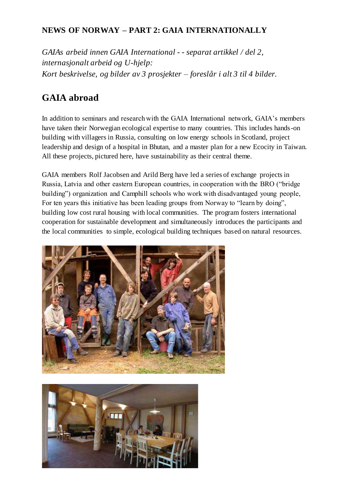## **NEWS OF NORWAY – PART 2: GAIA INTERNATIONALLY**

*GAIAs arbeid innen GAIA International - - separat artikkel / del 2, internasjonalt arbeid og U-hjelp: Kort beskrivelse, og bilder av 3 prosjekter – foreslår i alt 3 til 4 bilder.*

## **GAIA abroad**

In addition to seminars and research with the GAIA International network, GAIA's members have taken their Norwegian ecological expertise to many countries. This includes hands-on building with villagers in Russia, consulting on low energy schools in Scotland, project leadership and design of a hospital in Bhutan, and a master plan for a new Ecocity in Taiwan. All these projects, pictured here, have sustainability as their central theme.

GAIA members Rolf Jacobsen and Arild Berg have led a series of exchange projects in Russia, Latvia and other eastern European countries, in cooperation with the BRO ("bridge building") organization and Camphill schools who work with disadvantaged young people, For ten years this initiative has been leading groups from Norway to "learn by doing", building low cost rural housing with local communities. The program fosters international cooperation for sustainable development and simultaneously introduces the participants and the local communities to simple, ecological building techniques based on natural resources.



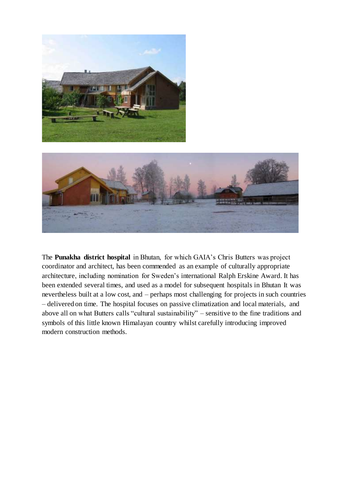



The **Punakha district hospital** in Bhutan, for which GAIA's Chris Butters was project coordinator and architect, has been commended as an example of culturally appropriate architecture, including nomination for Sweden's international Ralph Erskine Award. It has been extended several times, and used as a model for subsequent hospitals in Bhutan It was nevertheless built at a low cost, and – perhaps most challenging for projects in such countries – delivered on time. The hospital focuses on passive climatization and local materials, and above all on what Butters calls "cultural sustainability" – sensitive to the fine traditions and symbols of this little known Himalayan country whilst carefully introducing improved modern construction methods.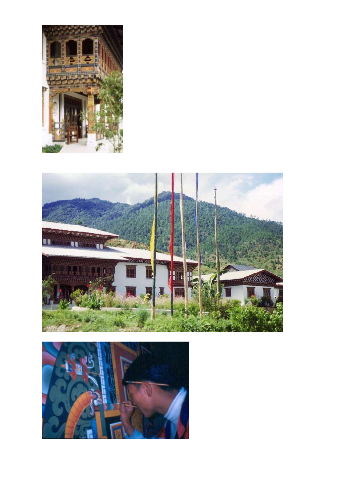



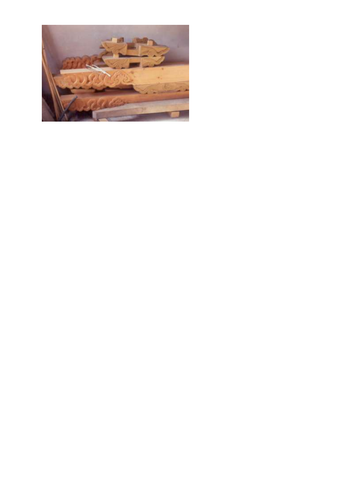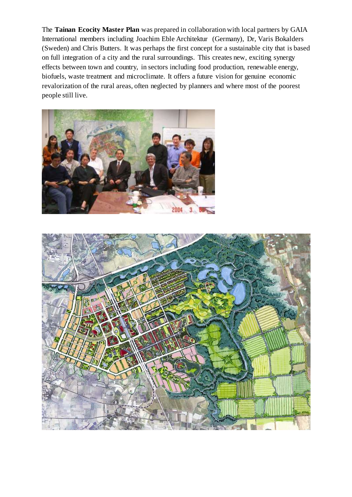The **Tainan Ecocity Master Plan** was prepared in collaboration with local partners by GAIA International members including Joachim Eble Architektur (Germany), Dr, Varis Bokalders (Sweden) and Chris Butters. It was perhaps the first concept for a sustainable city that is based on full integration of a city and the rural surroundings. This creates new, exciting synergy effects between town and country, in sectors including food production, renewable energy, biofuels, waste treatment and microclimate. It offers a future vision for genuine economic revalorization of the rural areas, often neglected by planners and where most of the poorest people still live.